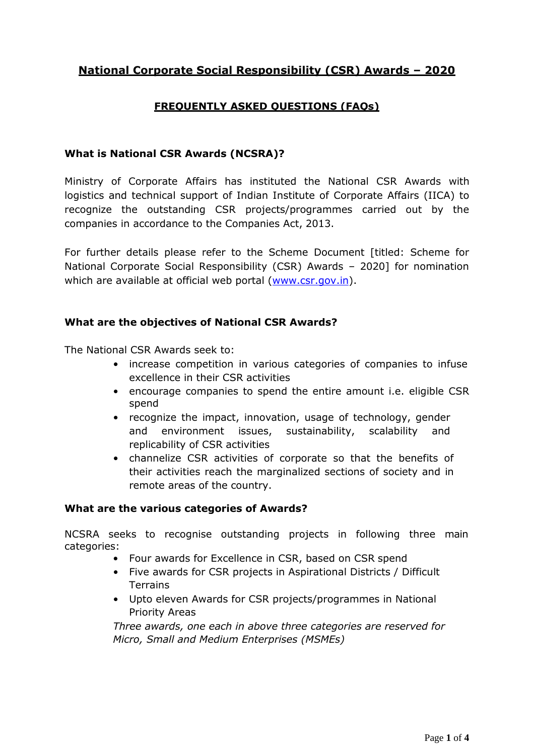# **National Corporate Social Responsibility (CSR) Awards – 2020**

# **FREQUENTLY ASKED QUESTIONS (FAQs)**

### **What is National CSR Awards (NCSRA)?**

Ministry of Corporate Affairs has instituted the National CSR Awards with logistics and technical support of Indian Institute of Corporate Affairs (IICA) to recognize the outstanding CSR projects/programmes carried out by the companies in accordance to the Companies Act, 2013.

For further details please refer to the Scheme Document [titled: Scheme for National Corporate Social Responsibility (CSR) Awards – 2020] for nomination which are available at official web portal [\(www.csr.gov.in\)](http://www.csr.gov.in/).

#### **What are the objectives of National CSR Awards?**

The National CSR Awards seek to:

- increase competition in various categories of companies to infuse excellence in their CSR activities
- encourage companies to spend the entire amount i.e. eligible CSR spend
- recognize the impact, innovation, usage of technology, gender and environment issues, sustainability, scalability and replicability of CSR activities
- channelize CSR activities of corporate so that the benefits of their activities reach the marginalized sections of society and in remote areas of the country.

#### **What are the various categories of Awards?**

NCSRA seeks to recognise outstanding projects in following three main categories:

- Four awards for Excellence in CSR, based on CSR spend
- Five awards for CSR projects in Aspirational Districts / Difficult **Terrains**
- Upto eleven Awards for CSR projects/programmes in National Priority Areas

*Three awards, one each in above three categories are reserved for Micro, Small and Medium Enterprises (MSMEs)*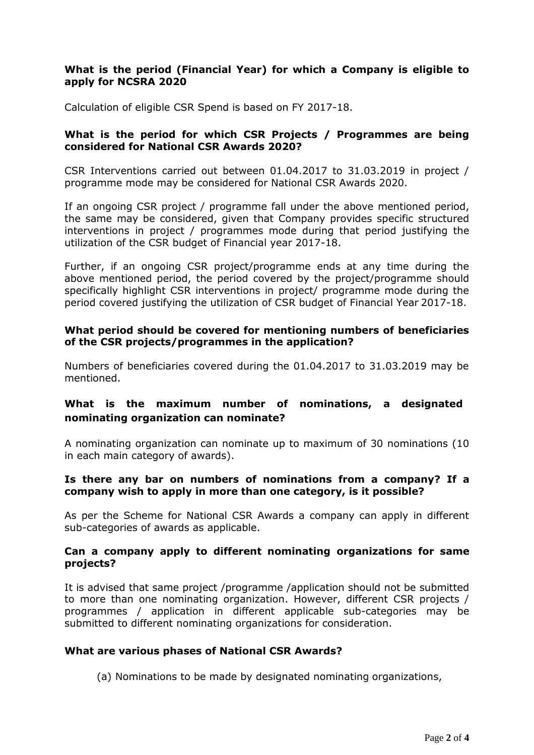#### **What is the period (Financial Year) for which a Company is eligible to apply for NCSRA 2020**

Calculation of eligible CSR Spend is based on FY 2017-18.

### **What is the period for which CSR Projects / Programmes are being considered for National CSR Awards 2020?**

CSR Interventions carried out between 01.04.2017 to 31.03.2019 in project / programme mode may be considered for National CSR Awards 2020.

If an ongoing CSR project / programme fall under the above mentioned period, the same may be considered, given that Company provides specific structured interventions in project / programmes mode during that period justifying the utilization of the CSR budget of Financial year 2017-18.

Further, if an ongoing CSR project/programme ends at any time during the above mentioned period, the period covered by the project/programme should specifically highlight CSR interventions in project/ programme mode during the period covered justifying the utilization of CSR budget of Financial Year 2017-18.

#### **What period should be covered for mentioning numbers of beneficiaries of the CSR projects/programmes in the application?**

Numbers of beneficiaries covered during the 01.04.2017 to 31.03.2019 may be mentioned.

# **What is the maximum number of nominations, a designated nominating organization can nominate?**

A nominating organization can nominate up to maximum of 30 nominations (10 in each main category of awards).

#### **Is there any bar on numbers of nominations from a company? If a company wish to apply in more than one category, is it possible?**

As per the Scheme for National CSR Awards a company can apply in different sub-categories of awards as applicable.

#### **Can a company apply to different nominating organizations for same projects?**

It is advised that same project /programme /application should not be submitted to more than one nominating organization. However, different CSR projects / programmes / application in different applicable sub-categories may be submitted to different nominating organizations for consideration.

#### **What are various phases of National CSR Awards?**

(a) Nominations to be made by designated nominating organizations,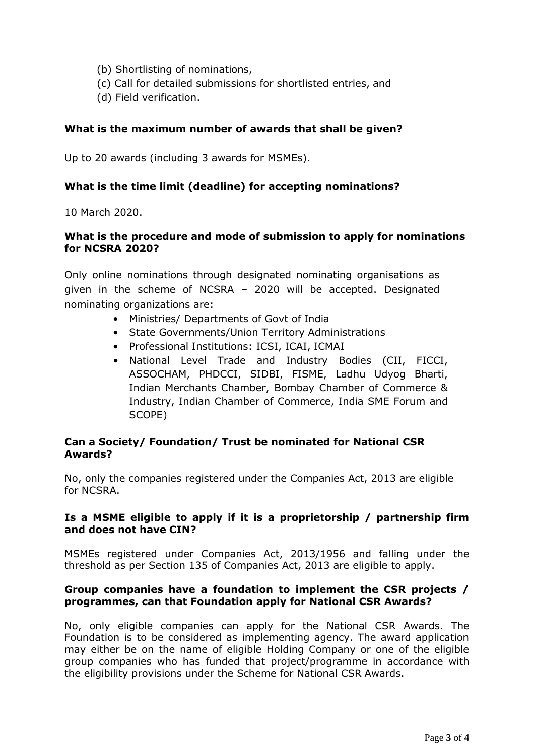- (b) Shortlisting of nominations,
- (c) Call for detailed submissions for shortlisted entries, and
- (d) Field verification.

### **What is the maximum number of awards that shall be given?**

Up to 20 awards (including 3 awards for MSMEs).

#### **What is the time limit (deadline) for accepting nominations?**

10 March 2020.

#### **What is the procedure and mode of submission to apply for nominations for NCSRA 2020?**

Only online nominations through designated nominating organisations as given in the scheme of NCSRA – 2020 will be accepted. Designated nominating organizations are:

- Ministries/ Departments of Govt of India
- State Governments/Union Territory Administrations
- Professional Institutions: ICSI, ICAI, ICMAI
- National Level Trade and Industry Bodies (CII, FICCI, ASSOCHAM, PHDCCI, SIDBI, FISME, Ladhu Udyog Bharti, Indian Merchants Chamber, [Bombay Chamber of Commerce &](http://www.bombaychamber.com/) Industry, Indian Chamber of Commerce, India SME Forum and SCOPE)

#### **Can a Society/ Foundation/ Trust be nominated for National CSR Awards?**

No, only the companies registered under the Companies Act, 2013 are eligible for NCSRA.

#### **Is a MSME eligible to apply if it is a proprietorship / partnership firm and does not have CIN?**

MSMEs registered under Companies Act, 2013/1956 and falling under the threshold as per Section 135 of Companies Act, 2013 are eligible to apply.

#### **Group companies have a foundation to implement the CSR projects / programmes, can that Foundation apply for National CSR Awards?**

No, only eligible companies can apply for the National CSR Awards. The Foundation is to be considered as implementing agency. The award application may either be on the name of eligible Holding Company or one of the eligible group companies who has funded that project/programme in accordance with the eligibility provisions under the Scheme for National CSR Awards.